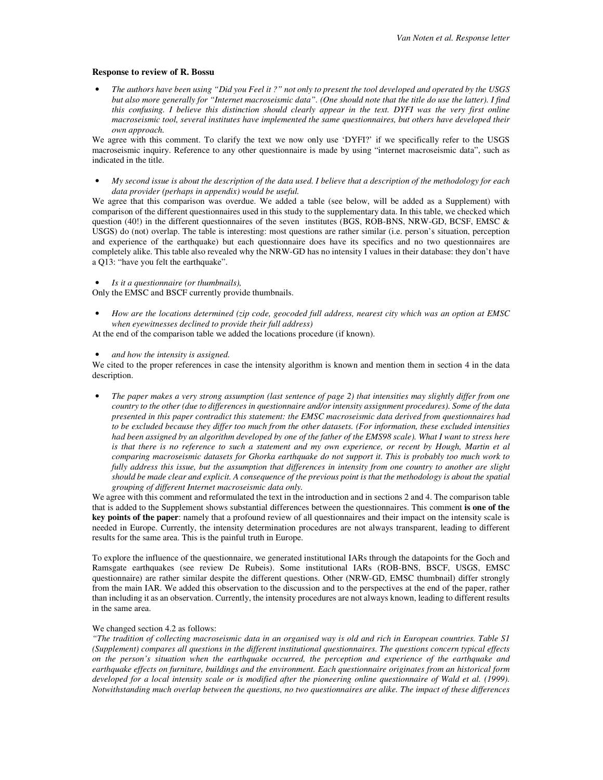## **Response to review of R. Bossu**

• *The authors have been using "Did you Feel it ?" not only to present the tool developed and operated by the USGS but also more generally for "Internet macroseismic data". (One should note that the title do use the latter). I find this confusing. I believe this distinction should clearly appear in the text. DYFI was the very first online macroseismic tool, several institutes have implemented the same questionnaires, but others have developed their own approach.* 

We agree with this comment. To clarify the text we now only use 'DYFI?' if we specifically refer to the USGS macroseismic inquiry. Reference to any other questionnaire is made by using "internet macroseismic data", such as indicated in the title.

• *My second issue is about the description of the data used. I believe that a description of the methodology for each data provider (perhaps in appendix) would be useful.* 

We agree that this comparison was overdue. We added a table (see below, will be added as a Supplement) with comparison of the different questionnaires used in this study to the supplementary data. In this table, we checked which question (40!) in the different questionnaires of the seven institutes (BGS, ROB-BNS, NRW-GD, BCSF, EMSC  $\&$ USGS) do (not) overlap. The table is interesting: most questions are rather similar (i.e. person's situation, perception and experience of the earthquake) but each questionnaire does have its specifics and no two questionnaires are completely alike. This table also revealed why the NRW-GD has no intensity I values in their database: they don't have a Q13: "have you felt the earthquake".

## • *Is it a questionnaire (or thumbnails),*

Only the EMSC and BSCF currently provide thumbnails.

• *How are the locations determined (zip code, geocoded full address, nearest city which was an option at EMSC when eyewitnesses declined to provide their full address)* 

At the end of the comparison table we added the locations procedure (if known).

## • *and how the intensity is assigned.*

We cited to the proper references in case the intensity algorithm is known and mention them in section 4 in the data description.

• *The paper makes a very strong assumption (last sentence of page 2) that intensities may slightly differ from one country to the other (due to differences in questionnaire and/or intensity assignment procedures). Some of the data presented in this paper contradict this statement: the EMSC macroseismic data derived from questionnaires had to be excluded because they differ too much from the other datasets. (For information, these excluded intensities had been assigned by an algorithm developed by one of the father of the EMS98 scale). What I want to stress here is that there is no reference to such a statement and my own experience, or recent by Hough, Martin et al comparing macroseismic datasets for Ghorka earthquake do not support it. This is probably too much work to fully address this issue, but the assumption that differences in intensity from one country to another are slight should be made clear and explicit. A consequence of the previous point is that the methodology is about the spatial grouping of different Internet macroseismic data only.* 

We agree with this comment and reformulated the text in the introduction and in sections 2 and 4. The comparison table that is added to the Supplement shows substantial differences between the questionnaires. This comment **is one of the key points of the paper**: namely that a profound review of all questionnaires and their impact on the intensity scale is needed in Europe. Currently, the intensity determination procedures are not always transparent, leading to different results for the same area. This is the painful truth in Europe.

To explore the influence of the questionnaire, we generated institutional IARs through the datapoints for the Goch and Ramsgate earthquakes (see review De Rubeis). Some institutional IARs (ROB-BNS, BSCF, USGS, EMSC questionnaire) are rather similar despite the different questions. Other (NRW-GD, EMSC thumbnail) differ strongly from the main IAR. We added this observation to the discussion and to the perspectives at the end of the paper, rather than including it as an observation. Currently, the intensity procedures are not always known, leading to different results in the same area.

## We changed section 4.2 as follows:

*"The tradition of collecting macroseismic data in an organised way is old and rich in European countries. Table S1 (Supplement) compares all questions in the different institutional questionnaires. The questions concern typical effects on the person's situation when the earthquake occurred, the perception and experience of the earthquake and earthquake effects on furniture, buildings and the environment. Each questionnaire originates from an historical form*  developed for a local intensity scale or is modified after the pioneering online questionnaire of Wald et al. (1999). *Notwithstanding much overlap between the questions, no two questionnaires are alike. The impact of these differences*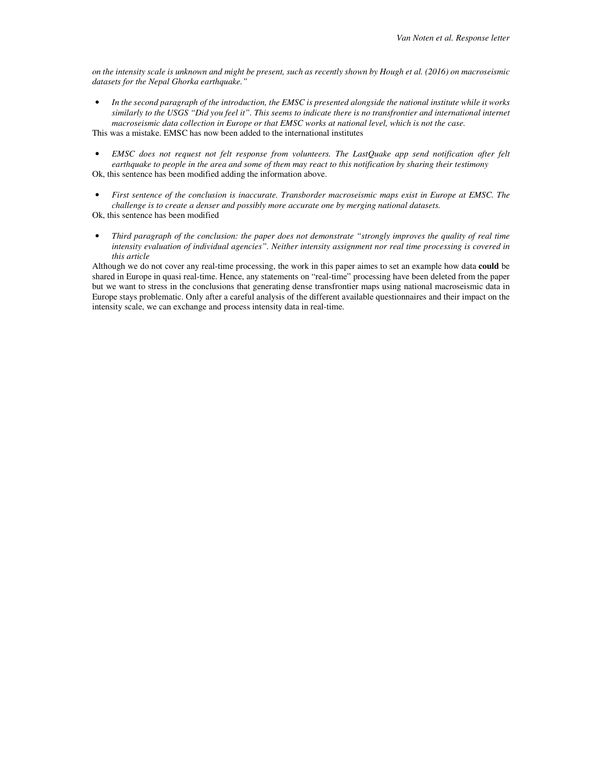*on the intensity scale is unknown and might be present, such as recently shown by Hough et al. (2016) on macroseismic datasets for the Nepal Ghorka earthquake."* 

• *In the second paragraph of the introduction, the EMSC is presented alongside the national institute while it works similarly to the USGS "Did you feel it". This seems to indicate there is no transfrontier and international internet macroseismic data collection in Europe or that EMSC works at national level, which is not the case.*  This was a mistake. EMSC has now been added to the international institutes

• *EMSC does not request not felt response from volunteers. The LastQuake app send notification after felt earthquake to people in the area and some of them may react to this notification by sharing their testimony*  Ok, this sentence has been modified adding the information above.

• *First sentence of the conclusion is inaccurate. Transborder macroseismic maps exist in Europe at EMSC. The challenge is to create a denser and possibly more accurate one by merging national datasets.*  Ok, this sentence has been modified

• *Third paragraph of the conclusion: the paper does not demonstrate "strongly improves the quality of real time intensity evaluation of individual agencies". Neither intensity assignment nor real time processing is covered in this article* 

Although we do not cover any real-time processing, the work in this paper aimes to set an example how data **could** be shared in Europe in quasi real-time. Hence, any statements on "real-time" processing have been deleted from the paper but we want to stress in the conclusions that generating dense transfrontier maps using national macroseismic data in Europe stays problematic. Only after a careful analysis of the different available questionnaires and their impact on the intensity scale, we can exchange and process intensity data in real-time.